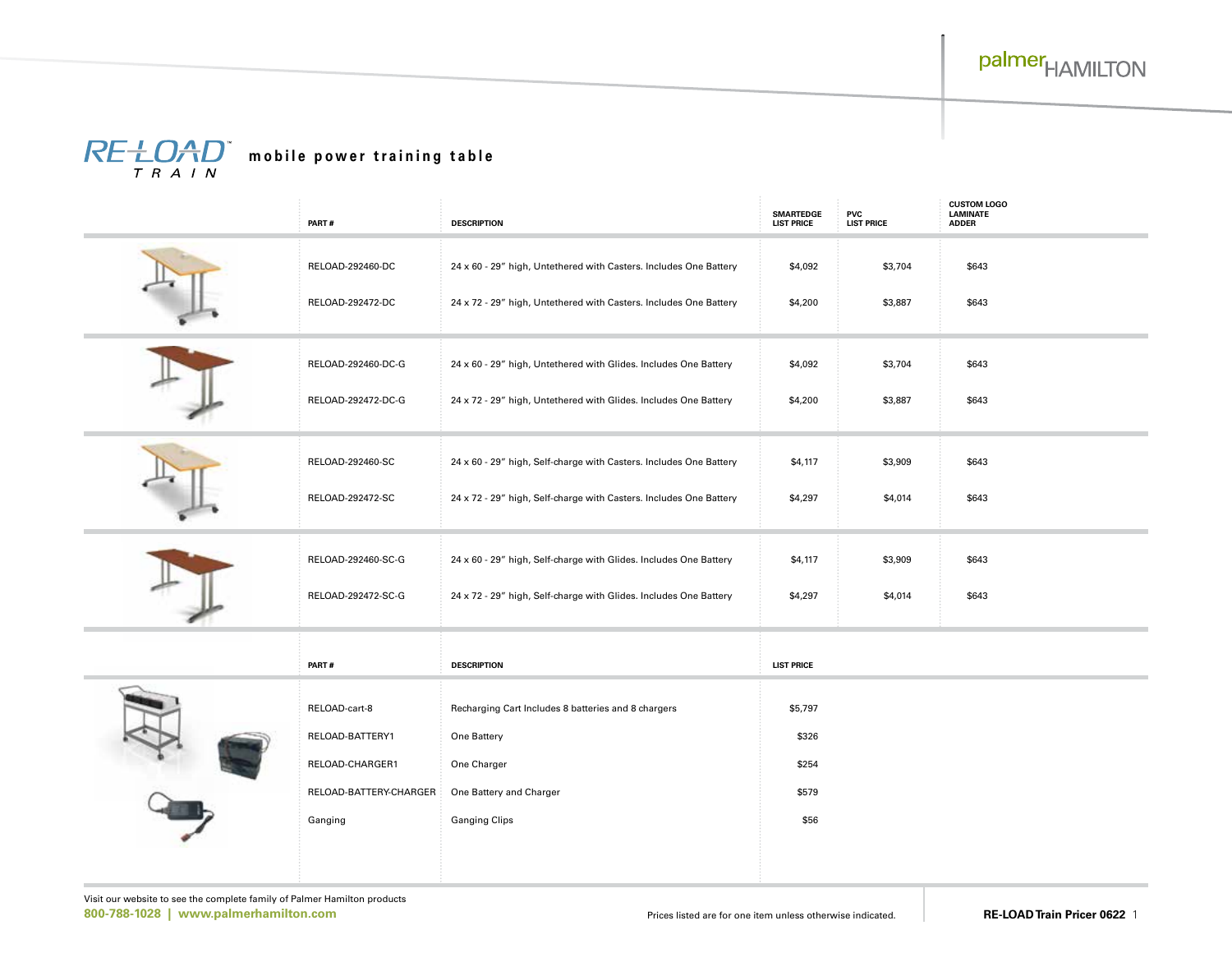# $\overline{R}E + \overline{D_{T}A}_{T}D^{*}$  mobile power training table

|  | PART#                  | <b>DESCRIPTION</b>                                                 | <b>SMARTEDGE</b><br><b>LIST PRICE</b> | <b>PVC</b><br><b>LIST PRICE</b> | <b>CUSTOM LOGO</b><br>LAMINATE<br><b>ADDER</b> |
|--|------------------------|--------------------------------------------------------------------|---------------------------------------|---------------------------------|------------------------------------------------|
|  | RELOAD-292460-DC       | 24 x 60 - 29" high, Untethered with Casters. Includes One Battery  | \$4,092                               | \$3,704                         | \$643                                          |
|  | RELOAD-292472-DC       | 24 x 72 - 29" high, Untethered with Casters. Includes One Battery  | \$4,200                               | \$3,887                         | \$643                                          |
|  | RELOAD-292460-DC-G     | 24 x 60 - 29" high, Untethered with Glides. Includes One Battery   | \$4,092                               | \$3,704                         | \$643                                          |
|  | RELOAD-292472-DC-G     | 24 x 72 - 29" high, Untethered with Glides. Includes One Battery   | \$4,200                               | \$3,887                         | \$643                                          |
|  | RELOAD-292460-SC       | 24 x 60 - 29" high, Self-charge with Casters. Includes One Battery | \$4,117                               | \$3,909                         | \$643                                          |
|  | RELOAD-292472-SC       | 24 x 72 - 29" high, Self-charge with Casters. Includes One Battery | \$4,297                               | \$4,014                         | \$643                                          |
|  | RELOAD-292460-SC-G     | 24 x 60 - 29" high, Self-charge with Glides. Includes One Battery  | \$4,117                               | \$3,909                         | \$643                                          |
|  | RELOAD-292472-SC-G     | 24 x 72 - 29" high, Self-charge with Glides. Includes One Battery  | \$4,297                               | \$4,014                         | \$643                                          |
|  | PART#                  | <b>DESCRIPTION</b>                                                 | <b>LIST PRICE</b>                     |                                 |                                                |
|  | RELOAD-cart-8          | Recharging Cart Includes 8 batteries and 8 chargers                | \$5,797                               |                                 |                                                |
|  | RELOAD-BATTERY1        | One Battery                                                        | \$326                                 |                                 |                                                |
|  | RELOAD-CHARGER1        | One Charger                                                        | \$254                                 |                                 |                                                |
|  | RELOAD-BATTERY-CHARGER | One Battery and Charger                                            | \$579                                 |                                 |                                                |
|  | Ganging                | <b>Ganging Clips</b>                                               | \$56                                  |                                 |                                                |
|  |                        |                                                                    |                                       |                                 |                                                |
|  |                        |                                                                    |                                       |                                 |                                                |